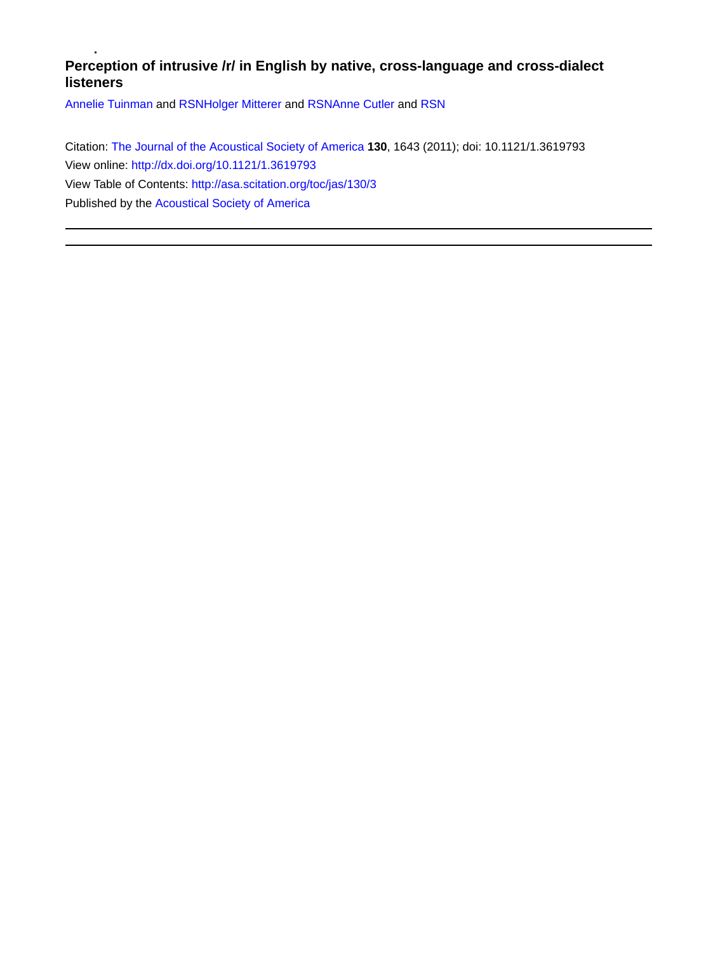# **Perception of intrusive /r/ in English by native, cross-language and cross-dialect listeners**

[Annelie Tuinman](http://asa.scitation.org/author/Tuinman%2C+Annelie) and [RSN](http://asa.scitation.org/author/RSN)[Holger Mitterer](http://asa.scitation.org/author/Mitterer%2C+Holger) and [RSN](http://asa.scitation.org/author/RSN)[Anne Cutler](http://asa.scitation.org/author/Cutler%2C+Anne) and [RSN](http://asa.scitation.org/author/RSN)

Citation: [The Journal of the Acoustical Society of America](/loi/jas) **130**, 1643 (2011); doi: 10.1121/1.3619793 View online: <http://dx.doi.org/10.1121/1.3619793> View Table of Contents: <http://asa.scitation.org/toc/jas/130/3> Published by the [Acoustical Society of America](http://asa.scitation.org/publisher/)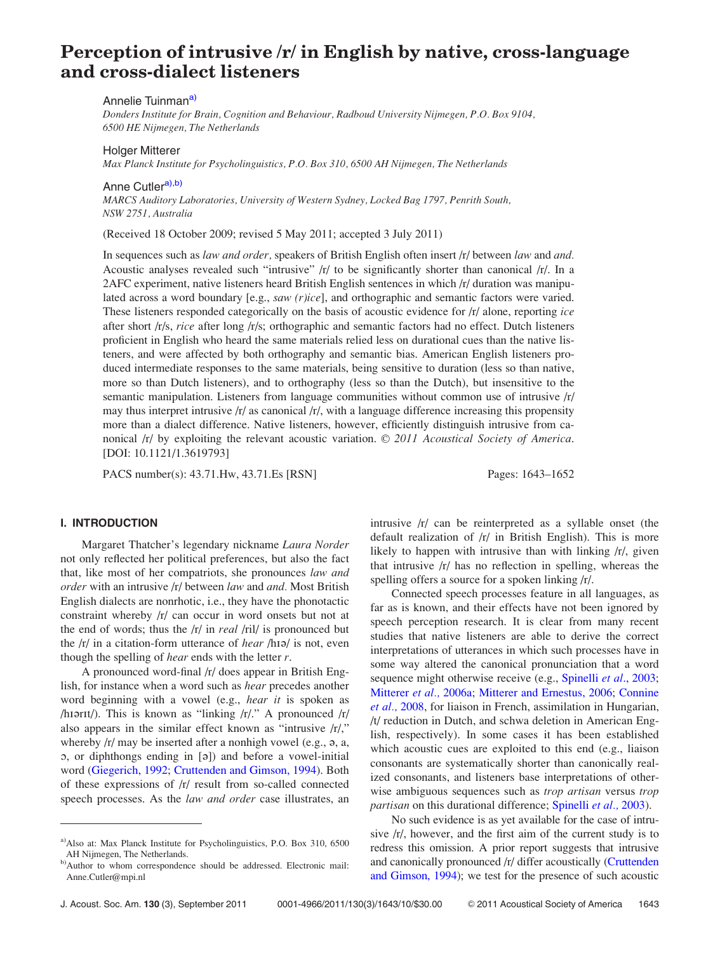# Perception of intrusive /r/ in English by native, cross-language and cross-dialect listeners

#### Annelie Tuinman<sup>a)</sup>

Donders Institute for Brain, Cognition and Behaviour, Radboud University Nijmegen, P.O. Box 9104, 6500 HE Nijmegen, The Netherlands

## Holger Mitterer

Max Planck Institute for Psycholinguistics, P.O. Box 310, 6500 AH Nijmegen, The Netherlands

Anne Cutler<sup>a),b)</sup>

MARCS Auditory Laboratories, University of Western Sydney, Locked Bag 1797, Penrith South, NSW 2751, Australia

(Received 18 October 2009; revised 5 May 2011; accepted 3 July 2011)

In sequences such as law and order, speakers of British English often insert /r/ between law and and. Acoustic analyses revealed such "intrusive" /r/ to be significantly shorter than canonical /r/. In a 2AFC experiment, native listeners heard British English sentences in which /r/ duration was manipulated across a word boundary [e.g., *saw (r)ice*], and orthographic and semantic factors were varied. These listeners responded categorically on the basis of acoustic evidence for  $/r/$  alone, reporting ice after short /r/s, rice after long /r/s; orthographic and semantic factors had no effect. Dutch listeners proficient in English who heard the same materials relied less on durational cues than the native listeners, and were affected by both orthography and semantic bias. American English listeners produced intermediate responses to the same materials, being sensitive to duration (less so than native, more so than Dutch listeners), and to orthography (less so than the Dutch), but insensitive to the semantic manipulation. Listeners from language communities without common use of intrusive  $|r|$ may thus interpret intrusive /r/ as canonical /r/, with a language difference increasing this propensity more than a dialect difference. Native listeners, however, efficiently distinguish intrusive from canonical  $\vert r \vert$  by exploiting the relevant acoustic variation.  $\odot$  2011 Acoustical Society of America. [DOI: 10.1121/1.3619793]

PACS number(s): 43.71.Hw, 43.71.Es [RSN] Pages: 1643–1652

#### I. INTRODUCTION

Margaret Thatcher's legendary nickname Laura Norder not only reflected her political preferences, but also the fact that, like most of her compatriots, she pronounces law and order with an intrusive /r/ between law and and. Most British English dialects are nonrhotic, i.e., they have the phonotactic constraint whereby /r/ can occur in word onsets but not at the end of words; thus the /r/ in real /ril/ is pronounced but the  $\frac{r}{r}$  in a citation-form utterance of *hear*  $\frac{r}{r}$  is not, even though the spelling of *hear* ends with the letter  $r$ .

A pronounced word-final /r/ does appear in British English, for instance when a word such as hear precedes another word beginning with a vowel (e.g., hear it is spoken as /hiarit/). This is known as "linking  $\langle r \rangle$ ." A pronounced  $\langle r \rangle$ also appears in the similar effect known as "intrusive /r/," whereby  $\frac{r}{\pi}$  may be inserted after a nonhigh vowel (e.g.,  $\varphi$ , a, O, or diphthongs ending in [@]) and before a vowel-initial word ([Giegerich, 1992;](#page-10-0) [Cruttenden and Gimson, 1994](#page-10-0)). Both of these expressions of /r/ result from so-called connected speech processes. As the law and order case illustrates, an

intrusive /r/ can be reinterpreted as a syllable onset (the default realization of /r/ in British English). This is more likely to happen with intrusive than with linking  $\langle r \rangle$ , given that intrusive /r/ has no reflection in spelling, whereas the spelling offers a source for a spoken linking /r/.

Connected speech processes feature in all languages, as far as is known, and their effects have not been ignored by speech perception research. It is clear from many recent studies that native listeners are able to derive the correct interpretations of utterances in which such processes have in some way altered the canonical pronunciation that a word sequence might otherwise receive (e.g., [Spinelli](#page-10-0) *et al.*, 2003; [Mitterer](#page-10-0) et al., 2006a; [Mitterer and Ernestus, 2006;](#page-10-0) [Connine](#page-10-0) [et al.,](#page-10-0) 2008, for liaison in French, assimilation in Hungarian, /t/ reduction in Dutch, and schwa deletion in American English, respectively). In some cases it has been established which acoustic cues are exploited to this end (e.g., liaison consonants are systematically shorter than canonically realized consonants, and listeners base interpretations of otherwise ambiguous sequences such as trop artisan versus trop partisan on this durational difference; [Spinelli](#page-10-0) et al., 2003).

No such evidence is as yet available for the case of intrusive /r/, however, and the first aim of the current study is to redress this omission. A prior report suggests that intrusive and canonically pronounced /r/ differ acoustically ([Cruttenden](#page-10-0) [and Gimson, 1994\)](#page-10-0); we test for the presence of such acoustic

a)Also at: Max Planck Institute for Psycholinguistics, P.O. Box 310, 6500 AH Nijmegen, The Netherlands.

b)Author to whom correspondence should be addressed. Electronic mail: Anne.Cutler@mpi.nl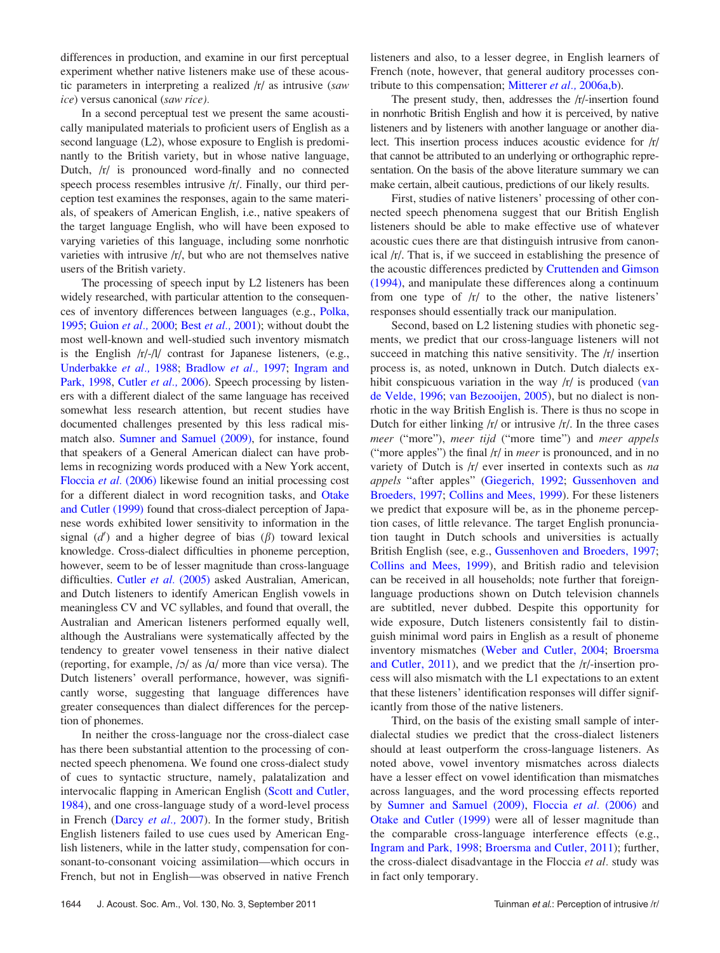differences in production, and examine in our first perceptual experiment whether native listeners make use of these acoustic parameters in interpreting a realized /r/ as intrusive (saw ice) versus canonical (saw rice).

In a second perceptual test we present the same acoustically manipulated materials to proficient users of English as a second language (L2), whose exposure to English is predominantly to the British variety, but in whose native language, Dutch, /r/ is pronounced word-finally and no connected speech process resembles intrusive /r/. Finally, our third perception test examines the responses, again to the same materials, of speakers of American English, i.e., native speakers of the target language English, who will have been exposed to varying varieties of this language, including some nonrhotic varieties with intrusive /r/, but who are not themselves native users of the British variety.

The processing of speech input by L2 listeners has been widely researched, with particular attention to the consequences of inventory differences between languages (e.g., [Polka,](#page-10-0) [1995](#page-10-0); [Guion](#page-10-0) et al., 2000; Best [et al.,](#page-10-0) 2001); without doubt the most well-known and well-studied such inventory mismatch is the English /r/-/l/ contrast for Japanese listeners, (e.g., [Underbakke](#page-10-0) et al., 1988; [Bradlow](#page-10-0) et al., 1997; [Ingram and](#page-10-0) [Park, 1998,](#page-10-0) [Cutler](#page-10-0) et al., 2006). Speech processing by listeners with a different dialect of the same language has received somewhat less research attention, but recent studies have documented challenges presented by this less radical mismatch also. [Sumner and Samuel \(2009\),](#page-10-0) for instance, found that speakers of a General American dialect can have problems in recognizing words produced with a New York accent, [Floccia](#page-10-0) et al. (2006) likewise found an initial processing cost for a different dialect in word recognition tasks, and [Otake](#page-10-0) [and Cutler \(1999\)](#page-10-0) found that cross-dialect perception of Japanese words exhibited lower sensitivity to information in the signal  $(d')$  and a higher degree of bias  $(\beta)$  toward lexical knowledge. Cross-dialect difficulties in phoneme perception, however, seem to be of lesser magnitude than cross-language difficulties. Cutler et al. [\(2005\)](#page-10-0) asked Australian, American, and Dutch listeners to identify American English vowels in meaningless CV and VC syllables, and found that overall, the Australian and American listeners performed equally well, although the Australians were systematically affected by the tendency to greater vowel tenseness in their native dialect (reporting, for example,  $/2/$  as  $/4/$  more than vice versa). The Dutch listeners' overall performance, however, was significantly worse, suggesting that language differences have greater consequences than dialect differences for the perception of phonemes.

In neither the cross-language nor the cross-dialect case has there been substantial attention to the processing of connected speech phenomena. We found one cross-dialect study of cues to syntactic structure, namely, palatalization and intervocalic flapping in American English [\(Scott and Cutler,](#page-10-0) [1984\)](#page-10-0), and one cross-language study of a word-level process in French ([Darcy](#page-10-0) et al., 2007). In the former study, British English listeners failed to use cues used by American English listeners, while in the latter study, compensation for consonant-to-consonant voicing assimilation—which occurs in French, but not in English—was observed in native French listeners and also, to a lesser degree, in English learners of French (note, however, that general auditory processes con-tribute to this compensation; [Mitterer](#page-10-0) *et al.*, 2006a,b).

The present study, then, addresses the /r/-insertion found in nonrhotic British English and how it is perceived, by native listeners and by listeners with another language or another dialect. This insertion process induces acoustic evidence for /r/ that cannot be attributed to an underlying or orthographic representation. On the basis of the above literature summary we can make certain, albeit cautious, predictions of our likely results.

First, studies of native listeners' processing of other connected speech phenomena suggest that our British English listeners should be able to make effective use of whatever acoustic cues there are that distinguish intrusive from canonical /r/. That is, if we succeed in establishing the presence of the acoustic differences predicted by [Cruttenden and Gimson](#page-10-0) [\(1994\),](#page-10-0) and manipulate these differences along a continuum from one type of /r/ to the other, the native listeners' responses should essentially track our manipulation.

Second, based on L2 listening studies with phonetic segments, we predict that our cross-language listeners will not succeed in matching this native sensitivity. The /r/ insertion process is, as noted, unknown in Dutch. Dutch dialects ex-hibit conspicuous variation in the way /r/ is produced [\(van](#page-10-0) [de Velde, 1996;](#page-10-0) [van Bezooijen, 2005\)](#page-10-0), but no dialect is nonrhotic in the way British English is. There is thus no scope in Dutch for either linking  $\frac{r}{r}$  or intrusive  $\frac{r}{r}$ . In the three cases meer ("more"), meer tijd ("more time") and meer appels ("more apples") the final /r/ in meer is pronounced, and in no variety of Dutch is  $|r|$  ever inserted in contexts such as na appels "after apples" [\(Giegerich, 1992](#page-10-0); [Gussenhoven and](#page-10-0) [Broeders, 1997](#page-10-0); [Collins and Mees, 1999](#page-10-0)). For these listeners we predict that exposure will be, as in the phoneme perception cases, of little relevance. The target English pronunciation taught in Dutch schools and universities is actually British English (see, e.g., [Gussenhoven and Broeders, 1997;](#page-10-0) [Collins and Mees, 1999](#page-10-0)), and British radio and television can be received in all households; note further that foreignlanguage productions shown on Dutch television channels are subtitled, never dubbed. Despite this opportunity for wide exposure, Dutch listeners consistently fail to distinguish minimal word pairs in English as a result of phoneme inventory mismatches ([Weber and Cutler, 2004](#page-10-0); [Broersma](#page-10-0) [and Cutler, 2011](#page-10-0)), and we predict that the /r/-insertion process will also mismatch with the L1 expectations to an extent that these listeners' identification responses will differ significantly from those of the native listeners.

Third, on the basis of the existing small sample of interdialectal studies we predict that the cross-dialect listeners should at least outperform the cross-language listeners. As noted above, vowel inventory mismatches across dialects have a lesser effect on vowel identification than mismatches across languages, and the word processing effects reported by [Sumner and Samuel \(2009\)](#page-10-0), [Floccia](#page-10-0) et al. (2006) and [Otake and Cutler \(1999\)](#page-10-0) were all of lesser magnitude than the comparable cross-language interference effects (e.g., [Ingram and Park, 1998](#page-10-0); [Broersma and Cutler, 2011\)](#page-10-0); further, the cross-dialect disadvantage in the Floccia et al. study was in fact only temporary.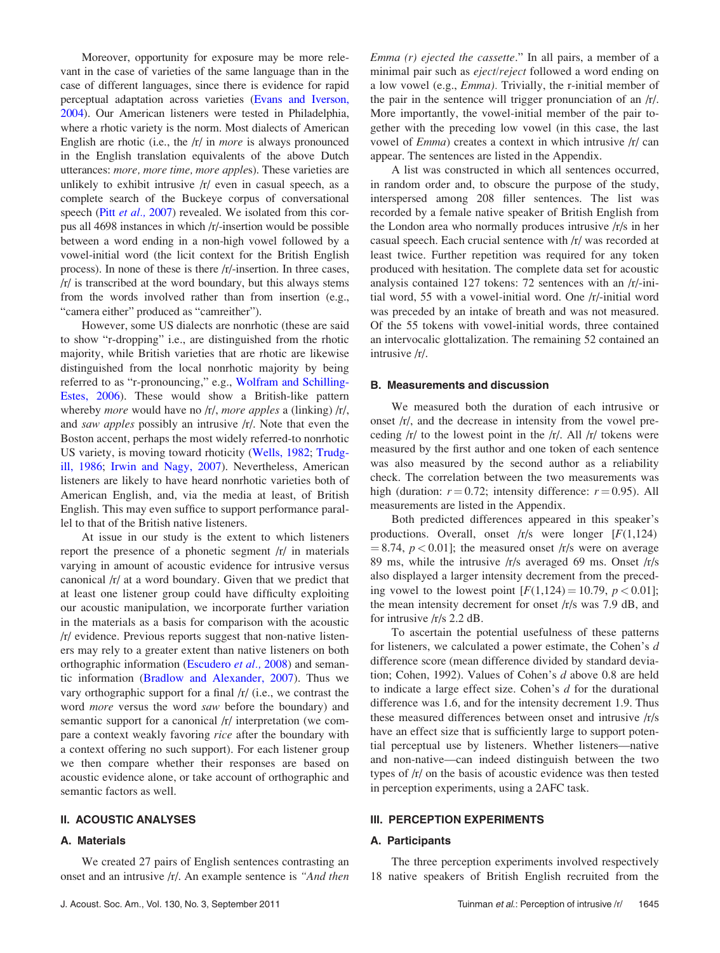Moreover, opportunity for exposure may be more relevant in the case of varieties of the same language than in the case of different languages, since there is evidence for rapid perceptual adaptation across varieties [\(Evans and Iverson,](#page-10-0) [2004](#page-10-0)). Our American listeners were tested in Philadelphia, where a rhotic variety is the norm. Most dialects of American English are rhotic (i.e., the /r/ in more is always pronounced in the English translation equivalents of the above Dutch utterances: more, more time, more apples). These varieties are unlikely to exhibit intrusive /r/ even in casual speech, as a complete search of the Buckeye corpus of conversational speech (Pitt *et al.*, 2007) revealed. We isolated from this corpus all 4698 instances in which /r/-insertion would be possible between a word ending in a non-high vowel followed by a vowel-initial word (the licit context for the British English process). In none of these is there /r/-insertion. In three cases, /r/ is transcribed at the word boundary, but this always stems from the words involved rather than from insertion (e.g., "camera either" produced as "camreither").

However, some US dialects are nonrhotic (these are said to show "r-dropping" i.e., are distinguished from the rhotic majority, while British varieties that are rhotic are likewise distinguished from the local nonrhotic majority by being referred to as "r-pronouncing," e.g., [Wolfram and Schilling-](#page-10-0)[Estes, 2006\)](#page-10-0). These would show a British-like pattern whereby *more* would have no /r/, *more apples* a (linking) /r/, and saw apples possibly an intrusive /r/. Note that even the Boston accent, perhaps the most widely referred-to nonrhotic US variety, is moving toward rhoticity ([Wells, 1982](#page-10-0); [Trudg](#page-10-0)[ill, 1986;](#page-10-0) [Irwin and Nagy, 2007](#page-10-0)). Nevertheless, American listeners are likely to have heard nonrhotic varieties both of American English, and, via the media at least, of British English. This may even suffice to support performance parallel to that of the British native listeners.

At issue in our study is the extent to which listeners report the presence of a phonetic segment /r/ in materials varying in amount of acoustic evidence for intrusive versus canonical /r/ at a word boundary. Given that we predict that at least one listener group could have difficulty exploiting our acoustic manipulation, we incorporate further variation in the materials as a basis for comparison with the acoustic /r/ evidence. Previous reports suggest that non-native listeners may rely to a greater extent than native listeners on both orthographic information [\(Escudero](#page-10-0) et al., 2008) and semantic information [\(Bradlow and Alexander, 2007\)](#page-10-0). Thus we vary orthographic support for a final /r/ (i.e., we contrast the word more versus the word saw before the boundary) and semantic support for a canonical /r/ interpretation (we compare a context weakly favoring rice after the boundary with a context offering no such support). For each listener group we then compare whether their responses are based on acoustic evidence alone, or take account of orthographic and semantic factors as well.

#### II. ACOUSTIC ANALYSES

#### A. Materials

We created 27 pairs of English sentences contrasting an onset and an intrusive /r/. An example sentence is "And then Emma (r) ejected the cassette." In all pairs, a member of a minimal pair such as eject/reject followed a word ending on a low vowel (e.g., Emma). Trivially, the r-initial member of the pair in the sentence will trigger pronunciation of an /r/. More importantly, the vowel-initial member of the pair together with the preceding low vowel (in this case, the last vowel of Emma) creates a context in which intrusive /r/ can appear. The sentences are listed in the Appendix.

A list was constructed in which all sentences occurred, in random order and, to obscure the purpose of the study, interspersed among 208 filler sentences. The list was recorded by a female native speaker of British English from the London area who normally produces intrusive /r/s in her casual speech. Each crucial sentence with /r/ was recorded at least twice. Further repetition was required for any token produced with hesitation. The complete data set for acoustic analysis contained 127 tokens: 72 sentences with an /r/-initial word, 55 with a vowel-initial word. One /r/-initial word was preceded by an intake of breath and was not measured. Of the 55 tokens with vowel-initial words, three contained an intervocalic glottalization. The remaining 52 contained an intrusive /r/.

#### B. Measurements and discussion

We measured both the duration of each intrusive or onset /r/, and the decrease in intensity from the vowel preceding  $\frac{r}{r}$  to the lowest point in the  $\frac{r}{r}$ . All  $\frac{r}{r}$  tokens were measured by the first author and one token of each sentence was also measured by the second author as a reliability check. The correlation between the two measurements was high (duration:  $r = 0.72$ ; intensity difference:  $r = 0.95$ ). All measurements are listed in the Appendix.

Both predicted differences appeared in this speaker's productions. Overall, onset  $/r/s$  were longer  $[F(1,124)]$  $= 8.74$ ,  $p < 0.01$ ]; the measured onset /r/s were on average 89 ms, while the intrusive /r/s averaged 69 ms. Onset /r/s also displayed a larger intensity decrement from the preceding vowel to the lowest point  $[F(1,124) = 10.79, p < 0.01]$ ; the mean intensity decrement for onset /r/s was 7.9 dB, and for intrusive /r/s 2.2 dB.

To ascertain the potential usefulness of these patterns for listeners, we calculated a power estimate, the Cohen's d difference score (mean difference divided by standard deviation; Cohen, 1992). Values of Cohen's d above 0.8 are held to indicate a large effect size. Cohen's d for the durational difference was 1.6, and for the intensity decrement 1.9. Thus these measured differences between onset and intrusive /r/s have an effect size that is sufficiently large to support potential perceptual use by listeners. Whether listeners—native and non-native—can indeed distinguish between the two types of /r/ on the basis of acoustic evidence was then tested in perception experiments, using a 2AFC task.

#### III. PERCEPTION EXPERIMENTS

#### A. Participants

The three perception experiments involved respectively 18 native speakers of British English recruited from the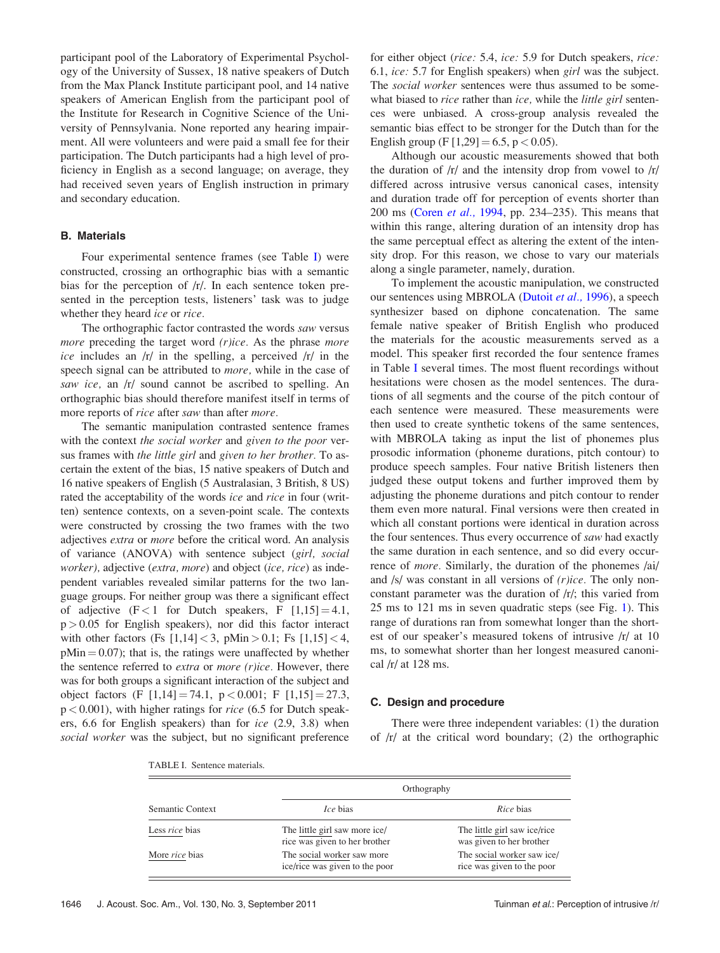participant pool of the Laboratory of Experimental Psychology of the University of Sussex, 18 native speakers of Dutch from the Max Planck Institute participant pool, and 14 native speakers of American English from the participant pool of the Institute for Research in Cognitive Science of the University of Pennsylvania. None reported any hearing impairment. All were volunteers and were paid a small fee for their participation. The Dutch participants had a high level of proficiency in English as a second language; on average, they had received seven years of English instruction in primary and secondary education.

# B. Materials

Four experimental sentence frames (see Table I) were constructed, crossing an orthographic bias with a semantic bias for the perception of /r/. In each sentence token presented in the perception tests, listeners' task was to judge whether they heard *ice* or *rice*.

The orthographic factor contrasted the words saw versus more preceding the target word (r)ice. As the phrase more ice includes an  $/r/$  in the spelling, a perceived  $/r/$  in the speech signal can be attributed to more, while in the case of saw ice, an  $\vert r \vert$  sound cannot be ascribed to spelling. An orthographic bias should therefore manifest itself in terms of more reports of *rice* after saw than after *more*.

The semantic manipulation contrasted sentence frames with the context the social worker and given to the poor versus frames with the little girl and given to her brother. To ascertain the extent of the bias, 15 native speakers of Dutch and 16 native speakers of English (5 Australasian, 3 British, 8 US) rated the acceptability of the words *ice* and *rice* in four (written) sentence contexts, on a seven-point scale. The contexts were constructed by crossing the two frames with the two adjectives extra or more before the critical word. An analysis of variance (ANOVA) with sentence subject (girl, social worker), adjective (extra, more) and object (ice, rice) as independent variables revealed similar patterns for the two language groups. For neither group was there a significant effect of adjective  $(F<1$  for Dutch speakers, F  $[1,15] = 4.1$ ,  $p > 0.05$  for English speakers), nor did this factor interact with other factors (Fs  $[1,14] < 3$ ,  $pMin > 0.1$ ; Fs  $[1,15] < 4$ ,  $pMin = 0.07$ ; that is, the ratings were unaffected by whether the sentence referred to *extra* or *more* ( $r$ )*ice*. However, there was for both groups a significant interaction of the subject and object factors (F  $[1,14] = 74.1$ , p < 0.001; F  $[1,15] = 27.3$ ,  $p < 0.001$ ), with higher ratings for *rice* (6.5 for Dutch speakers, 6.6 for English speakers) than for ice (2.9, 3.8) when social worker was the subject, but no significant preference for either object (rice: 5.4, ice: 5.9 for Dutch speakers, rice: 6.1, ice: 5.7 for English speakers) when girl was the subject. The *social worker* sentences were thus assumed to be somewhat biased to rice rather than ice, while the little girl sentences were unbiased. A cross-group analysis revealed the semantic bias effect to be stronger for the Dutch than for the English group (F  $[1,29] = 6.5$ , p < 0.05).

Although our acoustic measurements showed that both the duration of /r/ and the intensity drop from vowel to /r/ differed across intrusive versus canonical cases, intensity and duration trade off for perception of events shorter than 200 ms [\(Coren](#page-10-0) et al., 1994, pp. 234–235). This means that within this range, altering duration of an intensity drop has the same perceptual effect as altering the extent of the intensity drop. For this reason, we chose to vary our materials along a single parameter, namely, duration.

To implement the acoustic manipulation, we constructed our sentences using MBROLA ([Dutoit](#page-10-0) et al., 1996), a speech synthesizer based on diphone concatenation. The same female native speaker of British English who produced the materials for the acoustic measurements served as a model. This speaker first recorded the four sentence frames in Table I several times. The most fluent recordings without hesitations were chosen as the model sentences. The durations of all segments and the course of the pitch contour of each sentence were measured. These measurements were then used to create synthetic tokens of the same sentences, with MBROLA taking as input the list of phonemes plus prosodic information (phoneme durations, pitch contour) to produce speech samples. Four native British listeners then judged these output tokens and further improved them by adjusting the phoneme durations and pitch contour to render them even more natural. Final versions were then created in which all constant portions were identical in duration across the four sentences. Thus every occurrence of saw had exactly the same duration in each sentence, and so did every occurrence of more. Similarly, the duration of the phonemes /ai/ and /s/ was constant in all versions of (r)ice. The only nonconstant parameter was the duration of /r/; this varied from 25 ms to 121 ms in seven quadratic steps (see Fig. [1](#page-5-0)). This range of durations ran from somewhat longer than the shortest of our speaker's measured tokens of intrusive /r/ at 10 ms, to somewhat shorter than her longest measured canonical /r/ at 128 ms.

#### C. Design and procedure

There were three independent variables: (1) the duration of  $/r/$  at the critical word boundary; (2) the orthographic

TABLE I. Sentence materials.

|                       |                                                                | Orthography                                              |  |
|-----------------------|----------------------------------------------------------------|----------------------------------------------------------|--|
| Semantic Context      | <i>Ice</i> bias                                                | Rice bias                                                |  |
| Less <i>rice</i> bias | The little girl saw more ice/<br>rice was given to her brother | The little girl saw ice/rice<br>was given to her brother |  |
| More <i>rice</i> bias | The social worker saw more<br>ice/rice was given to the poor   | The social worker saw ice/<br>rice was given to the poor |  |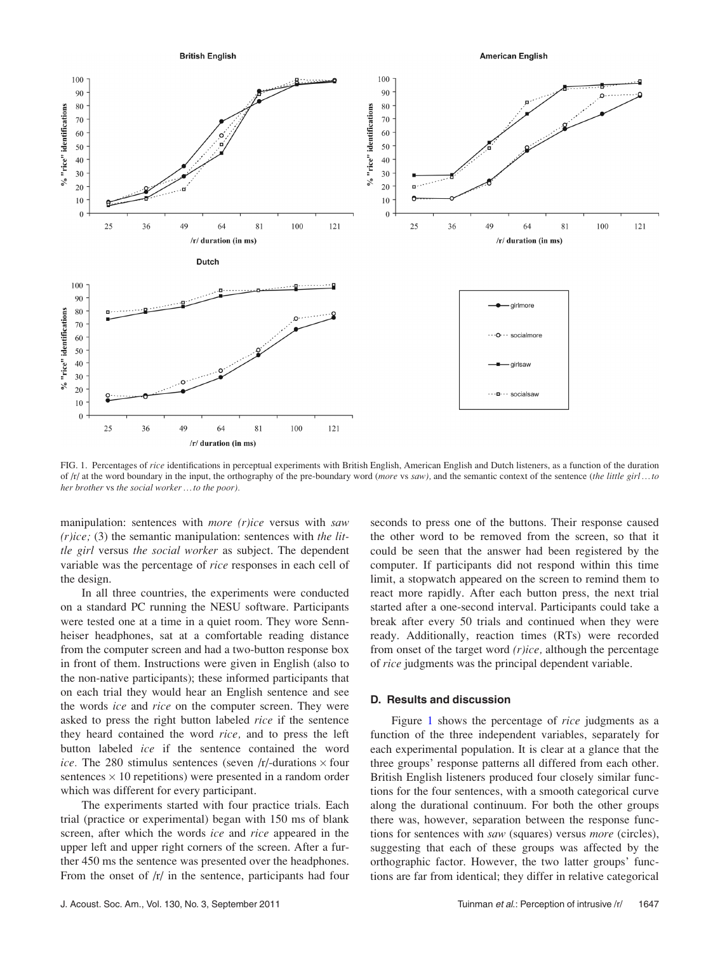<span id="page-5-0"></span>

FIG. 1. Percentages of rice identifications in perceptual experiments with British English, American English and Dutch listeners, as a function of the duration of  $/r/$  at the word boundary in the input, the orthography of the pre-boundary word (more vs saw), and the semantic context of the sentence (the little girl ... to her brother vs the social worker ... to the poor).

manipulation: sentences with more  $(r)$ ice versus with saw  $(r)ice$ ; (3) the semantic manipulation: sentences with the little girl versus the social worker as subject. The dependent variable was the percentage of rice responses in each cell of the design.

In all three countries, the experiments were conducted on a standard PC running the NESU software. Participants were tested one at a time in a quiet room. They wore Sennheiser headphones, sat at a comfortable reading distance from the computer screen and had a two-button response box in front of them. Instructions were given in English (also to the non-native participants); these informed participants that on each trial they would hear an English sentence and see the words *ice* and *rice* on the computer screen. They were asked to press the right button labeled rice if the sentence they heard contained the word rice, and to press the left button labeled ice if the sentence contained the word ice. The 280 stimulus sentences (seven /r/-durations  $\times$  four sentences  $\times$  10 repetitions) were presented in a random order which was different for every participant.

The experiments started with four practice trials. Each trial (practice or experimental) began with 150 ms of blank screen, after which the words ice and rice appeared in the upper left and upper right corners of the screen. After a further 450 ms the sentence was presented over the headphones. From the onset of  $/r/$  in the sentence, participants had four seconds to press one of the buttons. Their response caused the other word to be removed from the screen, so that it could be seen that the answer had been registered by the computer. If participants did not respond within this time limit, a stopwatch appeared on the screen to remind them to react more rapidly. After each button press, the next trial started after a one-second interval. Participants could take a break after every 50 trials and continued when they were ready. Additionally, reaction times (RTs) were recorded from onset of the target word  $(r)$ ice, although the percentage of rice judgments was the principal dependent variable.

### D. Results and discussion

Figure 1 shows the percentage of *rice* judgments as a function of the three independent variables, separately for each experimental population. It is clear at a glance that the three groups' response patterns all differed from each other. British English listeners produced four closely similar functions for the four sentences, with a smooth categorical curve along the durational continuum. For both the other groups there was, however, separation between the response functions for sentences with saw (squares) versus more (circles), suggesting that each of these groups was affected by the orthographic factor. However, the two latter groups' functions are far from identical; they differ in relative categorical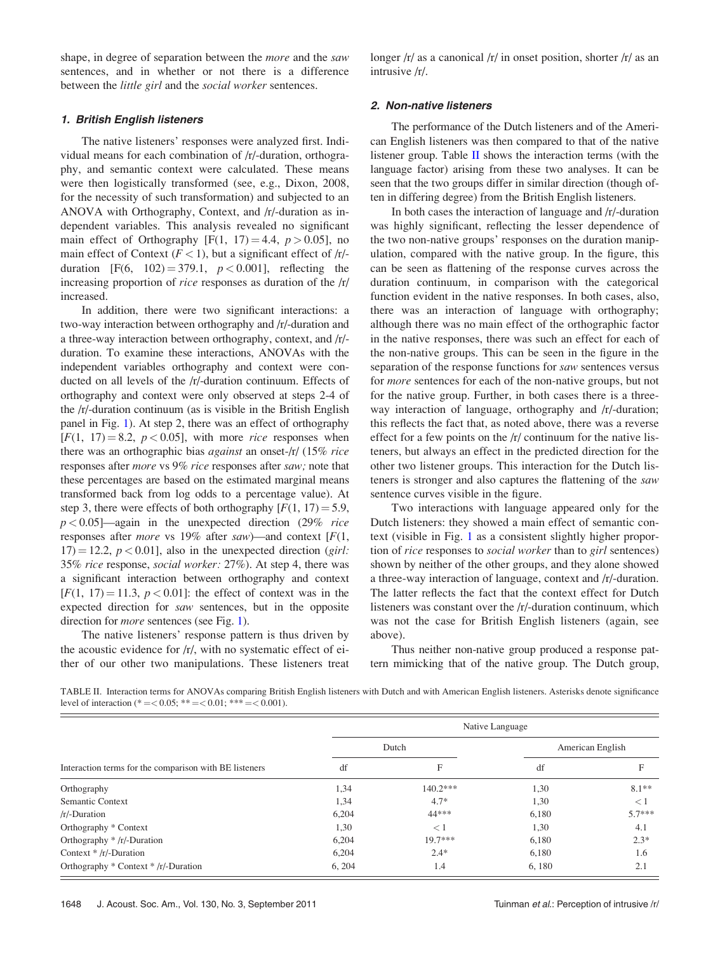<span id="page-6-0"></span>shape, in degree of separation between the more and the saw sentences, and in whether or not there is a difference between the little girl and the social worker sentences.

#### 1. British English listeners

The native listeners' responses were analyzed first. Individual means for each combination of /r/-duration, orthography, and semantic context were calculated. These means were then logistically transformed (see, e.g., Dixon, 2008, for the necessity of such transformation) and subjected to an ANOVA with Orthography, Context, and /r/-duration as independent variables. This analysis revealed no significant main effect of Orthography [F(1, 17) = 4.4,  $p > 0.05$ ], no main effect of Context ( $F < 1$ ), but a significant effect of  $/r$ . duration [F(6, 102) = 379.1,  $p < 0.001$ ], reflecting the increasing proportion of rice responses as duration of the /r/ increased.

In addition, there were two significant interactions: a two-way interaction between orthography and /r/-duration and a three-way interaction between orthography, context, and /r/ duration. To examine these interactions, ANOVAs with the independent variables orthography and context were conducted on all levels of the /r/-duration continuum. Effects of orthography and context were only observed at steps 2-4 of the /r/-duration continuum (as is visible in the British English panel in Fig. [1\)](#page-5-0). At step 2, there was an effect of orthography  $[F(1, 17) = 8.2, p < 0.05]$ , with more *rice* responses when there was an orthographic bias against an onset-/r/ (15% rice responses after more vs 9% rice responses after saw; note that these percentages are based on the estimated marginal means transformed back from log odds to a percentage value). At step 3, there were effects of both orthography  $[F(1, 17) = 5.9]$ ,  $p < 0.05$ ]—again in the unexpected direction (29% rice responses after *more* vs 19% after *saw*)—and context  $[F(1,$  $17) = 12.2, p < 0.01$ , also in the unexpected direction (girl: 35% rice response, social worker: 27%). At step 4, there was a significant interaction between orthography and context  $[F(1, 17) = 11.3, p < 0.01]$ : the effect of context was in the expected direction for saw sentences, but in the opposite direction for *more* sentences (see Fig. [1\)](#page-5-0).

The native listeners' response pattern is thus driven by the acoustic evidence for /r/, with no systematic effect of either of our other two manipulations. These listeners treat longer /r/ as a canonical /r/ in onset position, shorter /r/ as an intrusive /r/.

#### 2. Non-native listeners

The performance of the Dutch listeners and of the American English listeners was then compared to that of the native listener group. Table  $\Pi$  shows the interaction terms (with the language factor) arising from these two analyses. It can be seen that the two groups differ in similar direction (though often in differing degree) from the British English listeners.

In both cases the interaction of language and /r/-duration was highly significant, reflecting the lesser dependence of the two non-native groups' responses on the duration manipulation, compared with the native group. In the figure, this can be seen as flattening of the response curves across the duration continuum, in comparison with the categorical function evident in the native responses. In both cases, also, there was an interaction of language with orthography; although there was no main effect of the orthographic factor in the native responses, there was such an effect for each of the non-native groups. This can be seen in the figure in the separation of the response functions for saw sentences versus for more sentences for each of the non-native groups, but not for the native group. Further, in both cases there is a threeway interaction of language, orthography and  $/r$ -duration; this reflects the fact that, as noted above, there was a reverse effect for a few points on the /r/ continuum for the native listeners, but always an effect in the predicted direction for the other two listener groups. This interaction for the Dutch listeners is stronger and also captures the flattening of the saw sentence curves visible in the figure.

Two interactions with language appeared only for the Dutch listeners: they showed a main effect of semantic context (visible in Fig. [1](#page-5-0) as a consistent slightly higher proportion of rice responses to social worker than to girl sentences) shown by neither of the other groups, and they alone showed a three-way interaction of language, context and /r/-duration. The latter reflects the fact that the context effect for Dutch listeners was constant over the /r/-duration continuum, which was not the case for British English listeners (again, see above).

Thus neither non-native group produced a response pattern mimicking that of the native group. The Dutch group,

TABLE II. Interaction terms for ANOVAs comparing British English listeners with Dutch and with American English listeners. Asterisks denote significance level of interaction (\* = < 0.05; \*\* = < 0.01; \*\*\* = < 0.001).

|                                                        | Native Language |            |                  |          |
|--------------------------------------------------------|-----------------|------------|------------------|----------|
| Interaction terms for the comparison with BE listeners | Dutch           |            | American English |          |
|                                                        | df              | F          | df               |          |
| Orthography                                            | 1,34            | $140.2***$ | 1,30             | $8.1**$  |
| Semantic Context                                       | 1,34            | $4.7*$     | 1,30             | $\lt 1$  |
| $/r$ -Duration                                         | 6,204           | 44***      | 6,180            | $5.7***$ |
| Orthography * Context                                  | 1,30            | $\lt 1$    | 1,30             | 4.1      |
| Orthography $*/r$ -Duration                            | 6,204           | $19.7***$  | 6,180            | $2.3*$   |
| Context $*/r$ -Duration                                | 6,204           | $2.4*$     | 6.180            | 1.6      |
| Orthography * Context * /r/-Duration                   | 6, 204          | 1.4        | 6,180            | 2.1      |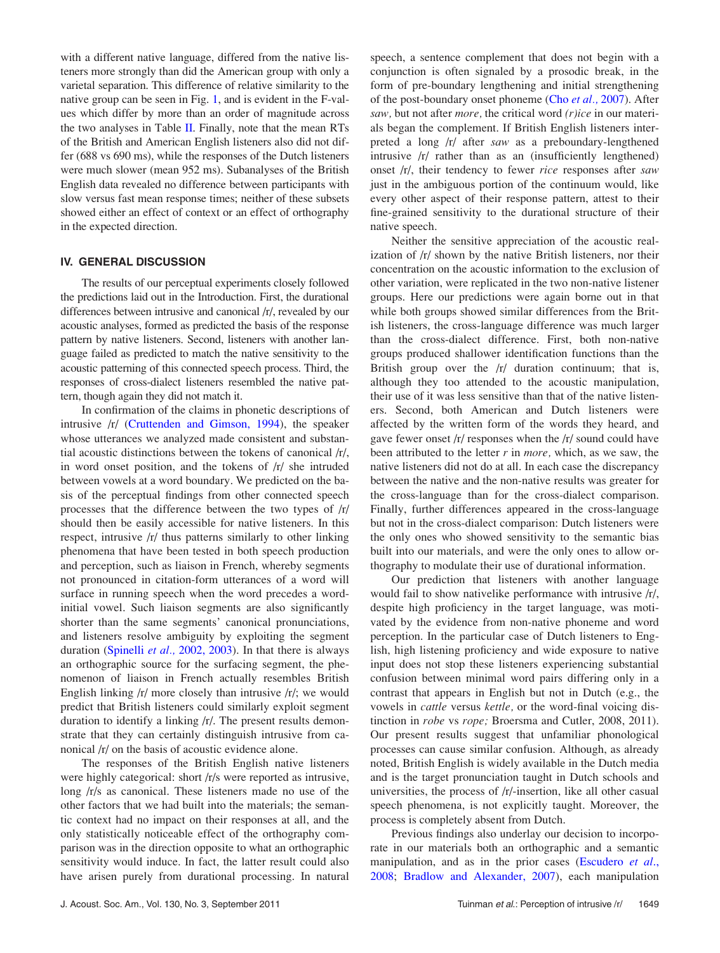with a different native language, differed from the native listeners more strongly than did the American group with only a varietal separation. This difference of relative similarity to the native group can be seen in Fig. [1](#page-5-0), and is evident in the F-values which differ by more than an order of magnitude across the two analyses in Table [II.](#page-6-0) Finally, note that the mean RTs of the British and American English listeners also did not differ (688 vs 690 ms), while the responses of the Dutch listeners were much slower (mean 952 ms). Subanalyses of the British English data revealed no difference between participants with slow versus fast mean response times; neither of these subsets showed either an effect of context or an effect of orthography in the expected direction.

### IV. GENERAL DISCUSSION

The results of our perceptual experiments closely followed the predictions laid out in the Introduction. First, the durational differences between intrusive and canonical /r/, revealed by our acoustic analyses, formed as predicted the basis of the response pattern by native listeners. Second, listeners with another language failed as predicted to match the native sensitivity to the acoustic patterning of this connected speech process. Third, the responses of cross-dialect listeners resembled the native pattern, though again they did not match it.

In confirmation of the claims in phonetic descriptions of intrusive /r/ [\(Cruttenden and Gimson, 1994\)](#page-10-0), the speaker whose utterances we analyzed made consistent and substantial acoustic distinctions between the tokens of canonical /r/, in word onset position, and the tokens of /r/ she intruded between vowels at a word boundary. We predicted on the basis of the perceptual findings from other connected speech processes that the difference between the two types of /r/ should then be easily accessible for native listeners. In this respect, intrusive /r/ thus patterns similarly to other linking phenomena that have been tested in both speech production and perception, such as liaison in French, whereby segments not pronounced in citation-form utterances of a word will surface in running speech when the word precedes a wordinitial vowel. Such liaison segments are also significantly shorter than the same segments' canonical pronunciations, and listeners resolve ambiguity by exploiting the segment duration (Spinelli et al., 2002, 2003). In that there is always an orthographic source for the surfacing segment, the phenomenon of liaison in French actually resembles British English linking /r/ more closely than intrusive /r/; we would predict that British listeners could similarly exploit segment duration to identify a linking /r/. The present results demonstrate that they can certainly distinguish intrusive from canonical /r/ on the basis of acoustic evidence alone.

The responses of the British English native listeners were highly categorical: short /r/s were reported as intrusive, long /r/s as canonical. These listeners made no use of the other factors that we had built into the materials; the semantic context had no impact on their responses at all, and the only statistically noticeable effect of the orthography comparison was in the direction opposite to what an orthographic sensitivity would induce. In fact, the latter result could also have arisen purely from durational processing. In natural speech, a sentence complement that does not begin with a conjunction is often signaled by a prosodic break, in the form of pre-boundary lengthening and initial strengthening of the post-boundary onset phoneme (Cho [et al.,](#page-10-0) 2007). After saw, but not after *more*, the critical word (*r*)ice in our materials began the complement. If British English listeners interpreted a long /r/ after saw as a preboundary-lengthened intrusive /r/ rather than as an (insufficiently lengthened) onset /r/, their tendency to fewer rice responses after saw just in the ambiguous portion of the continuum would, like every other aspect of their response pattern, attest to their fine-grained sensitivity to the durational structure of their native speech.

Neither the sensitive appreciation of the acoustic realization of /r/ shown by the native British listeners, nor their concentration on the acoustic information to the exclusion of other variation, were replicated in the two non-native listener groups. Here our predictions were again borne out in that while both groups showed similar differences from the British listeners, the cross-language difference was much larger than the cross-dialect difference. First, both non-native groups produced shallower identification functions than the British group over the  $\vert r \vert$  duration continuum; that is, although they too attended to the acoustic manipulation, their use of it was less sensitive than that of the native listeners. Second, both American and Dutch listeners were affected by the written form of the words they heard, and gave fewer onset /r/ responses when the /r/ sound could have been attributed to the letter  $r$  in *more*, which, as we saw, the native listeners did not do at all. In each case the discrepancy between the native and the non-native results was greater for the cross-language than for the cross-dialect comparison. Finally, further differences appeared in the cross-language but not in the cross-dialect comparison: Dutch listeners were the only ones who showed sensitivity to the semantic bias built into our materials, and were the only ones to allow orthography to modulate their use of durational information.

Our prediction that listeners with another language would fail to show nativelike performance with intrusive /r/, despite high proficiency in the target language, was motivated by the evidence from non-native phoneme and word perception. In the particular case of Dutch listeners to English, high listening proficiency and wide exposure to native input does not stop these listeners experiencing substantial confusion between minimal word pairs differing only in a contrast that appears in English but not in Dutch (e.g., the vowels in cattle versus kettle, or the word-final voicing distinction in robe vs rope; Broersma and Cutler, 2008, 2011). Our present results suggest that unfamiliar phonological processes can cause similar confusion. Although, as already noted, British English is widely available in the Dutch media and is the target pronunciation taught in Dutch schools and universities, the process of /r/-insertion, like all other casual speech phenomena, is not explicitly taught. Moreover, the process is completely absent from Dutch.

Previous findings also underlay our decision to incorporate in our materials both an orthographic and a semantic manipulation, and as in the prior cases ([Escudero](#page-10-0) et al., [2008;](#page-10-0) [Bradlow and Alexander, 2007](#page-10-0)), each manipulation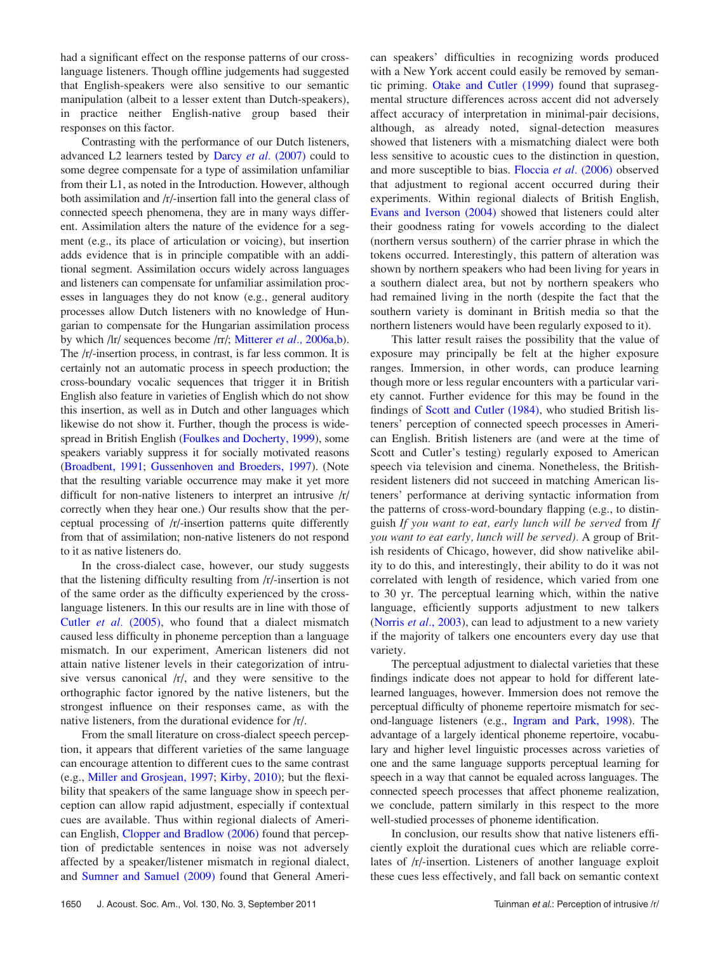had a significant effect on the response patterns of our crosslanguage listeners. Though offline judgements had suggested that English-speakers were also sensitive to our semantic manipulation (albeit to a lesser extent than Dutch-speakers), in practice neither English-native group based their responses on this factor.

Contrasting with the performance of our Dutch listeners, advanced L2 learners tested by Darcy et al. [\(2007\)](#page-10-0) could to some degree compensate for a type of assimilation unfamiliar from their L1, as noted in the Introduction. However, although both assimilation and /r/-insertion fall into the general class of connected speech phenomena, they are in many ways different. Assimilation alters the nature of the evidence for a segment (e.g., its place of articulation or voicing), but insertion adds evidence that is in principle compatible with an additional segment. Assimilation occurs widely across languages and listeners can compensate for unfamiliar assimilation processes in languages they do not know (e.g., general auditory processes allow Dutch listeners with no knowledge of Hungarian to compensate for the Hungarian assimilation process by which /lr/ sequences become /rr/; [Mitterer](#page-10-0) et al., 2006a[,b](#page-10-0)). The /r/-insertion process, in contrast, is far less common. It is certainly not an automatic process in speech production; the cross-boundary vocalic sequences that trigger it in British English also feature in varieties of English which do not show this insertion, as well as in Dutch and other languages which likewise do not show it. Further, though the process is widespread in British English ([Foulkes and Docherty, 1999\)](#page-10-0), some speakers variably suppress it for socially motivated reasons ([Broadbent, 1991;](#page-10-0) [Gussenhoven and Broeders, 1997\)](#page-10-0). (Note that the resulting variable occurrence may make it yet more difficult for non-native listeners to interpret an intrusive /r/ correctly when they hear one.) Our results show that the perceptual processing of /r/-insertion patterns quite differently from that of assimilation; non-native listeners do not respond to it as native listeners do.

In the cross-dialect case, however, our study suggests that the listening difficulty resulting from /r/-insertion is not of the same order as the difficulty experienced by the crosslanguage listeners. In this our results are in line with those of Cutler et al. [\(2005\),](#page-10-0) who found that a dialect mismatch caused less difficulty in phoneme perception than a language mismatch. In our experiment, American listeners did not attain native listener levels in their categorization of intrusive versus canonical /r/, and they were sensitive to the orthographic factor ignored by the native listeners, but the strongest influence on their responses came, as with the native listeners, from the durational evidence for /r/.

From the small literature on cross-dialect speech perception, it appears that different varieties of the same language can encourage attention to different cues to the same contrast (e.g., [Miller and Grosjean, 1997;](#page-10-0) [Kirby, 2010\)](#page-10-0); but the flexibility that speakers of the same language show in speech perception can allow rapid adjustment, especially if contextual cues are available. Thus within regional dialects of American English, [Clopper and Bradlow \(2006\)](#page-10-0) found that perception of predictable sentences in noise was not adversely affected by a speaker/listener mismatch in regional dialect, and [Sumner and Samuel \(2009\)](#page-10-0) found that General American speakers' difficulties in recognizing words produced with a New York accent could easily be removed by semantic priming. [Otake and Cutler \(1999\)](#page-10-0) found that suprasegmental structure differences across accent did not adversely affect accuracy of interpretation in minimal-pair decisions, although, as already noted, signal-detection measures showed that listeners with a mismatching dialect were both less sensitive to acoustic cues to the distinction in question, and more susceptible to bias. [Floccia](#page-10-0) et al. (2006) observed that adjustment to regional accent occurred during their experiments. Within regional dialects of British English, [Evans and Iverson \(2004\)](#page-10-0) showed that listeners could alter their goodness rating for vowels according to the dialect (northern versus southern) of the carrier phrase in which the tokens occurred. Interestingly, this pattern of alteration was shown by northern speakers who had been living for years in a southern dialect area, but not by northern speakers who had remained living in the north (despite the fact that the southern variety is dominant in British media so that the northern listeners would have been regularly exposed to it).

This latter result raises the possibility that the value of exposure may principally be felt at the higher exposure ranges. Immersion, in other words, can produce learning though more or less regular encounters with a particular variety cannot. Further evidence for this may be found in the findings of [Scott and Cutler \(1984\),](#page-10-0) who studied British listeners' perception of connected speech processes in American English. British listeners are (and were at the time of Scott and Cutler's testing) regularly exposed to American speech via television and cinema. Nonetheless, the Britishresident listeners did not succeed in matching American listeners' performance at deriving syntactic information from the patterns of cross-word-boundary flapping (e.g., to distinguish If you want to eat, early lunch will be served from If you want to eat early, lunch will be served). A group of British residents of Chicago, however, did show nativelike ability to do this, and interestingly, their ability to do it was not correlated with length of residence, which varied from one to 30 yr. The perceptual learning which, within the native language, efficiently supports adjustment to new talkers [\(Norris](#page-10-0) *et al.*, 2003), can lead to adjustment to a new variety if the majority of talkers one encounters every day use that variety.

The perceptual adjustment to dialectal varieties that these findings indicate does not appear to hold for different latelearned languages, however. Immersion does not remove the perceptual difficulty of phoneme repertoire mismatch for second-language listeners (e.g., [Ingram and Park, 1998](#page-10-0)). The advantage of a largely identical phoneme repertoire, vocabulary and higher level linguistic processes across varieties of one and the same language supports perceptual learning for speech in a way that cannot be equaled across languages. The connected speech processes that affect phoneme realization, we conclude, pattern similarly in this respect to the more well-studied processes of phoneme identification.

In conclusion, our results show that native listeners efficiently exploit the durational cues which are reliable correlates of /r/-insertion. Listeners of another language exploit these cues less effectively, and fall back on semantic context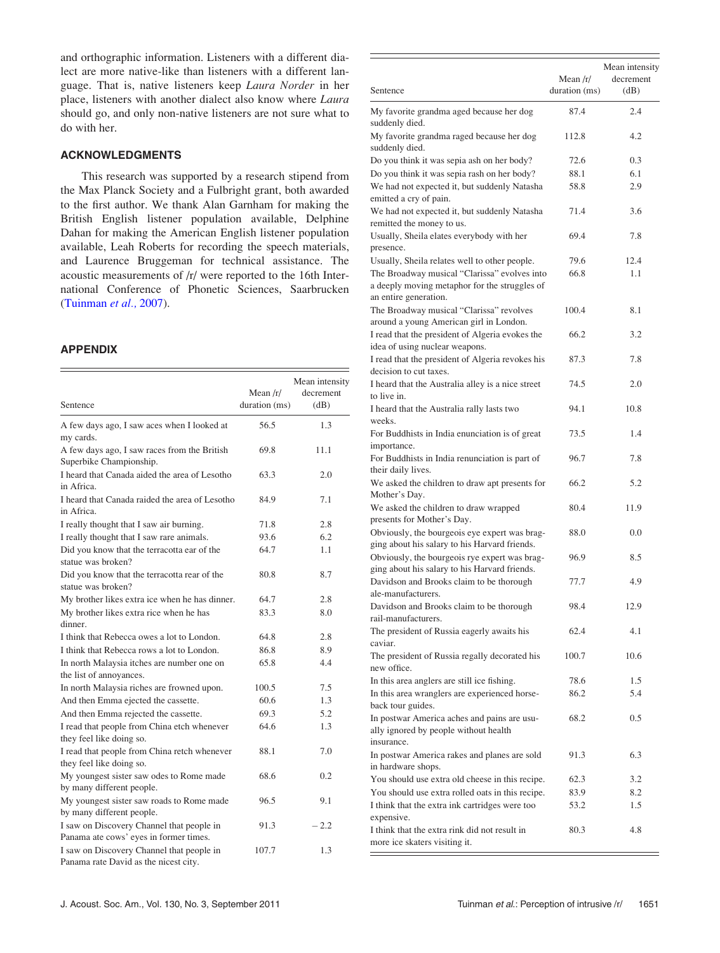and orthographic information. Listeners with a different dialect are more native-like than listeners with a different language. That is, native listeners keep Laura Norder in her place, listeners with another dialect also know where Laura should go, and only non-native listeners are not sure what to do with her.

## ACKNOWLEDGMENTS

This research was supported by a research stipend from the Max Planck Society and a Fulbright grant, both awarded to the first author. We thank Alan Garnham for making the British English listener population available, Delphine Dahan for making the American English listener population available, Leah Roberts for recording the speech materials, and Laurence Bruggeman for technical assistance. The acoustic measurements of /r/ were reported to the 16th International Conference of Phonetic Sciences, Saarbrucken ([Tuinman](#page-10-0) et al., 2007).

# APPENDIX

| Sentence                                                                            | Mean $/r/$<br>duration (ms) | Mean intensity<br>decrement<br>(dB) |
|-------------------------------------------------------------------------------------|-----------------------------|-------------------------------------|
| A few days ago, I saw aces when I looked at<br>my cards.                            | 56.5                        | 1.3                                 |
| A few days ago, I saw races from the British<br>Superbike Championship.             | 69.8                        | 11.1                                |
| I heard that Canada aided the area of Lesotho<br>in Africa.                         | 63.3                        | 2.0                                 |
| I heard that Canada raided the area of Lesotho<br>in Africa.                        | 84.9                        | 7.1                                 |
| I really thought that I saw air burning.                                            | 71.8                        | 2.8                                 |
| I really thought that I saw rare animals.                                           | 93.6                        | 6.2                                 |
| Did you know that the terracotta ear of the<br>statue was broken?                   | 64.7                        | 1.1                                 |
| Did you know that the terracotta rear of the<br>statue was broken?                  | 80.8                        | 8.7                                 |
| My brother likes extra ice when he has dinner.                                      | 64.7                        | 2.8                                 |
| My brother likes extra rice when he has<br>dinner.                                  | 83.3                        | 8.0                                 |
| I think that Rebecca owes a lot to London.                                          | 64.8                        | 2.8                                 |
| I think that Rebecca rows a lot to London.                                          | 86.8                        | 8.9                                 |
| In north Malaysia itches are number one on<br>the list of annoyances.               | 65.8                        | 4.4                                 |
| In north Malaysia riches are frowned upon.                                          | 100.5                       | 7.5                                 |
| And then Emma ejected the cassette.                                                 | 60.6                        | 1.3                                 |
| And then Emma rejected the cassette.                                                | 69.3                        | 5.2                                 |
| I read that people from China etch whenever<br>they feel like doing so.             | 64.6                        | 1.3                                 |
| I read that people from China retch whenever<br>they feel like doing so.            | 88.1                        | 7.0                                 |
| My youngest sister saw odes to Rome made<br>by many different people.               | 68.6                        | 0.2                                 |
| My youngest sister saw roads to Rome made<br>by many different people.              | 96.5                        | 9.1                                 |
| I saw on Discovery Channel that people in<br>Panama ate cows' eyes in former times. | 91.3                        | $-2.2$                              |
| I saw on Discovery Channel that people in<br>Panama rate David as the nicest city.  | 107.7                       | 1.3                                 |

| Sentence                                                                                                                | Mean $/r/$<br>duration (ms) | Mean intensity<br>decrement<br>(dB) |
|-------------------------------------------------------------------------------------------------------------------------|-----------------------------|-------------------------------------|
| My favorite grandma aged because her dog                                                                                | 87.4                        | 2.4                                 |
| suddenly died.<br>My favorite grandma raged because her dog<br>suddenly died.                                           | 112.8                       | 4.2                                 |
| Do you think it was sepia ash on her body?                                                                              | 72.6                        | 0.3                                 |
| Do you think it was sepia rash on her body?                                                                             | 88.1                        | 6.1                                 |
| We had not expected it, but suddenly Natasha<br>emitted a cry of pain.                                                  | 58.8                        | 2.9                                 |
| We had not expected it, but suddenly Natasha<br>remitted the money to us.                                               | 71.4                        | 3.6                                 |
| Usually, Sheila elates everybody with her<br>presence.                                                                  | 69.4                        | 7.8                                 |
| Usually, Sheila relates well to other people.                                                                           | 79.6                        | 12.4                                |
| The Broadway musical "Clarissa" evolves into<br>a deeply moving metaphor for the struggles of<br>an entire generation.  | 66.8                        | 1.1                                 |
| The Broadway musical "Clarissa" revolves<br>around a young American girl in London.                                     | 100.4                       | 8.1                                 |
| I read that the president of Algeria evokes the<br>idea of using nuclear weapons.                                       | 66.2                        | 3.2                                 |
| I read that the president of Algeria revokes his<br>decision to cut taxes.                                              | 87.3                        | 7.8                                 |
| I heard that the Australia alley is a nice street<br>to live in.                                                        | 74.5                        | 2.0                                 |
| I heard that the Australia rally lasts two<br>weeks.                                                                    | 94.1                        | 10.8                                |
| For Buddhists in India enunciation is of great<br>importance.                                                           | 73.5                        | 1.4                                 |
| For Buddhists in India renunciation is part of<br>their daily lives.                                                    | 96.7                        | 7.8                                 |
| We asked the children to draw apt presents for<br>Mother's Day.                                                         | 66.2                        | 5.2                                 |
| We asked the children to draw wrapped<br>presents for Mother's Day.                                                     | 80.4                        | 11.9                                |
| Obviously, the bourgeois eye expert was brag-<br>ging about his salary to his Harvard friends.                          | 88.0                        | 0.0                                 |
| Obviously, the bourgeois rye expert was brag-<br>ging about his salary to his Harvard friends.                          | 96.9                        | 8.5                                 |
| Davidson and Brooks claim to be thorough<br>ale-manufacturers.                                                          | 77.7                        | 4.9                                 |
| Davidson and Brooks claim to be thorough<br>rail-manufacturers.                                                         | 98.4                        | 12.9                                |
| The president of Russia eagerly awaits his<br>caviar.                                                                   | 62.4                        | 4.1                                 |
| The president of Russia regally decorated his<br>new office.                                                            | 100.7                       | 10.6                                |
| In this area anglers are still ice fishing.<br>In this area wranglers are experienced horse-                            | 78.6<br>86.2                | 1.5<br>5.4                          |
| back tour guides.<br>In postwar America aches and pains are usu-<br>ally ignored by people without health<br>insurance. | 68.2                        | 0.5                                 |
| In postwar America rakes and planes are sold<br>in hardware shops.                                                      | 91.3                        | 6.3                                 |
| You should use extra old cheese in this recipe.                                                                         | 62.3                        | 3.2                                 |
| You should use extra rolled oats in this recipe.                                                                        | 83.9                        | 8.2                                 |
| I think that the extra ink cartridges were too<br>expensive.                                                            | 53.2                        | 1.5                                 |
| I think that the extra rink did not result in<br>more ice skaters visiting it.                                          | 80.3                        | 4.8                                 |